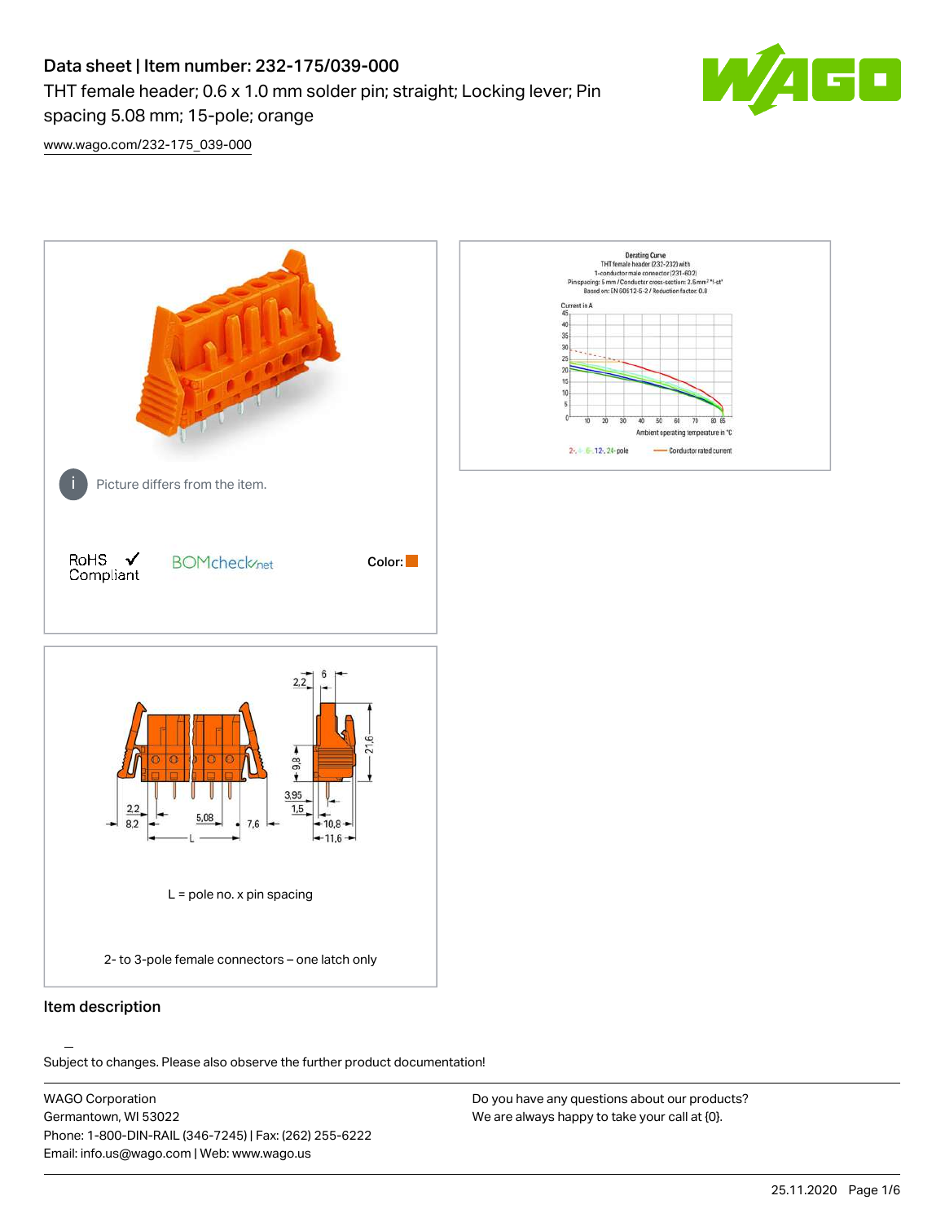## Data sheet | Item number: 232-175/039-000 THT female header; 0.6 x 1.0 mm solder pin; straight; Locking lever; Pin spacing 5.08 mm; 15-pole; orange



[www.wago.com/232-175\\_039-000](http://www.wago.com/232-175_039-000)



## Item description

.<br>Subject to changes. Please also observe the further product documentation!

WAGO Corporation Germantown, WI 53022 Phone: 1-800-DIN-RAIL (346-7245) | Fax: (262) 255-6222 Email: info.us@wago.com | Web: www.wago.us

Do you have any questions about our products? We are always happy to take your call at {0}.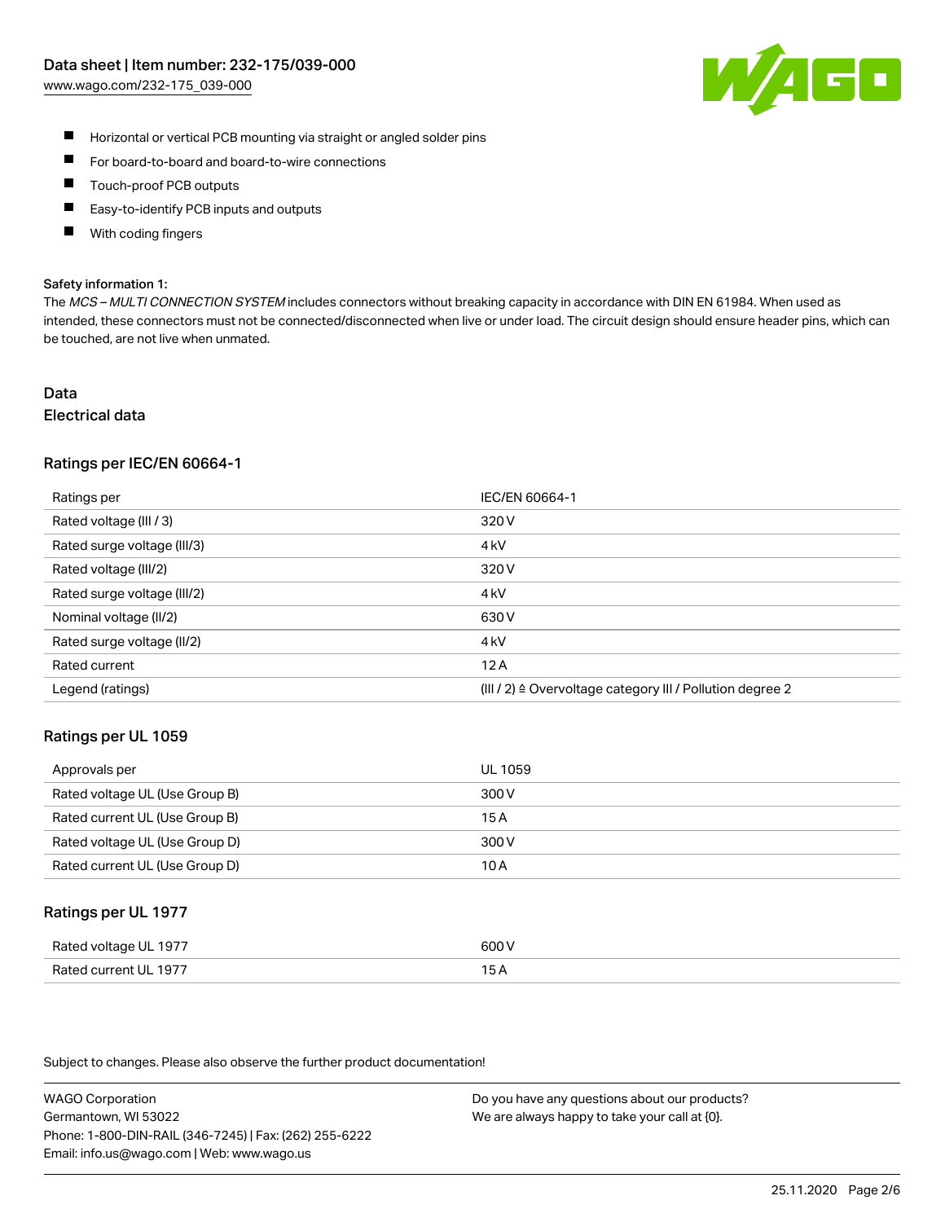

- $\blacksquare$ Horizontal or vertical PCB mounting via straight or angled solder pins
- $\blacksquare$ For board-to-board and board-to-wire connections
- Touch-proof PCB outputs  $\blacksquare$
- П Easy-to-identify PCB inputs and outputs
- П With coding fingers

#### Safety information 1:

The MCS - MULTI CONNECTION SYSTEM includes connectors without breaking capacity in accordance with DIN EN 61984. When used as intended, these connectors must not be connected/disconnected when live or under load. The circuit design should ensure header pins, which can be touched, are not live when unmated.

#### Data Electrical data

# Ratings per IEC/EN 60664-1

| Ratings per                 | IEC/EN 60664-1                                                       |
|-----------------------------|----------------------------------------------------------------------|
| Rated voltage (III / 3)     | 320 V                                                                |
| Rated surge voltage (III/3) | 4 <sub>kV</sub>                                                      |
| Rated voltage (III/2)       | 320 V                                                                |
| Rated surge voltage (III/2) | 4 <sub>kV</sub>                                                      |
| Nominal voltage (II/2)      | 630 V                                                                |
| Rated surge voltage (II/2)  | 4 <sub>kV</sub>                                                      |
| Rated current               | 12A                                                                  |
| Legend (ratings)            | (III / 2) $\triangleq$ Overvoltage category III / Pollution degree 2 |

#### Ratings per UL 1059

| Approvals per                  | UL 1059 |
|--------------------------------|---------|
| Rated voltage UL (Use Group B) | 300 V   |
| Rated current UL (Use Group B) | 15 A    |
| Rated voltage UL (Use Group D) | 300 V   |
| Rated current UL (Use Group D) | 10 A    |

#### Ratings per UL 1977

| Rated voltage UL 1977    | coo V       |
|--------------------------|-------------|
| Current UL 1977<br>Rated | ، ت<br>____ |

Subject to changes. Please also observe the further product documentation!

WAGO Corporation Germantown, WI 53022 Phone: 1-800-DIN-RAIL (346-7245) | Fax: (262) 255-6222 Email: info.us@wago.com | Web: www.wago.us

Do you have any questions about our products? We are always happy to take your call at {0}.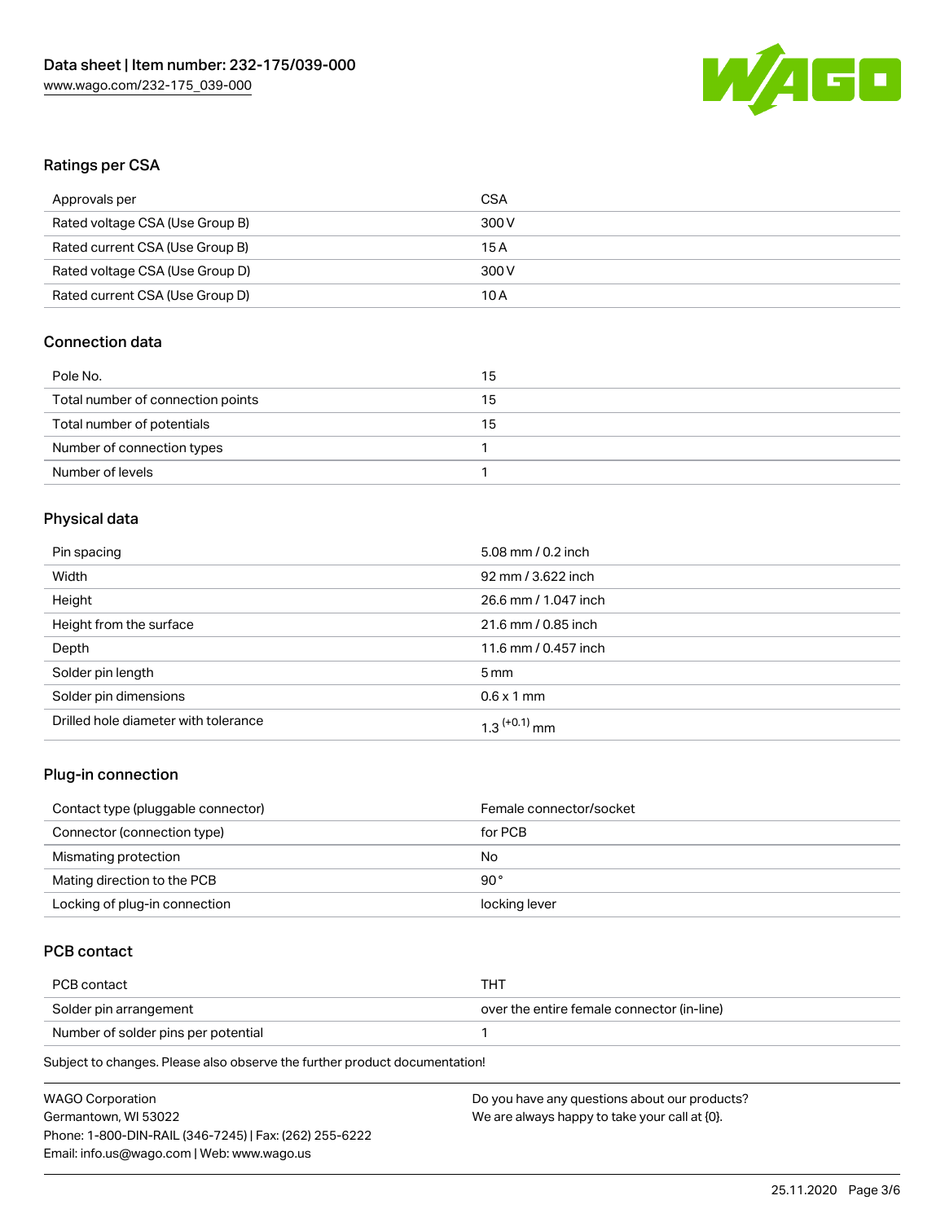

## Ratings per CSA

| Approvals per                   | CSA   |
|---------------------------------|-------|
| Rated voltage CSA (Use Group B) | 300 V |
| Rated current CSA (Use Group B) | 15 A  |
| Rated voltage CSA (Use Group D) | 300 V |
| Rated current CSA (Use Group D) | 10 A  |

## Connection data

| Pole No.                          | 15 |
|-----------------------------------|----|
| Total number of connection points | 15 |
| Total number of potentials        | 15 |
| Number of connection types        |    |
| Number of levels                  |    |

## Physical data

| Pin spacing                          | 5.08 mm / 0.2 inch         |
|--------------------------------------|----------------------------|
| Width                                | 92 mm / 3.622 inch         |
| Height                               | 26.6 mm / 1.047 inch       |
| Height from the surface              | 21.6 mm / 0.85 inch        |
| Depth                                | 11.6 mm / 0.457 inch       |
| Solder pin length                    | 5 <sub>mm</sub>            |
| Solder pin dimensions                | $0.6 \times 1$ mm          |
| Drilled hole diameter with tolerance | $1.3$ <sup>(+0.1)</sup> mm |

### Plug-in connection

| Contact type (pluggable connector) | Female connector/socket |
|------------------------------------|-------------------------|
| Connector (connection type)        | for PCB                 |
| Mismating protection               | No                      |
| Mating direction to the PCB        | 90°                     |
| Locking of plug-in connection      | locking lever           |

## PCB contact

| PCB contact                         | THT                                        |
|-------------------------------------|--------------------------------------------|
| Solder pin arrangement              | over the entire female connector (in-line) |
| Number of solder pins per potential |                                            |

Subject to changes. Please also observe the further product documentation!

| <b>WAGO Corporation</b>                                | Do you have any questions about our products? |
|--------------------------------------------------------|-----------------------------------------------|
| Germantown, WI 53022                                   | We are always happy to take your call at {0}. |
| Phone: 1-800-DIN-RAIL (346-7245)   Fax: (262) 255-6222 |                                               |
| Email: info.us@wago.com   Web: www.wago.us             |                                               |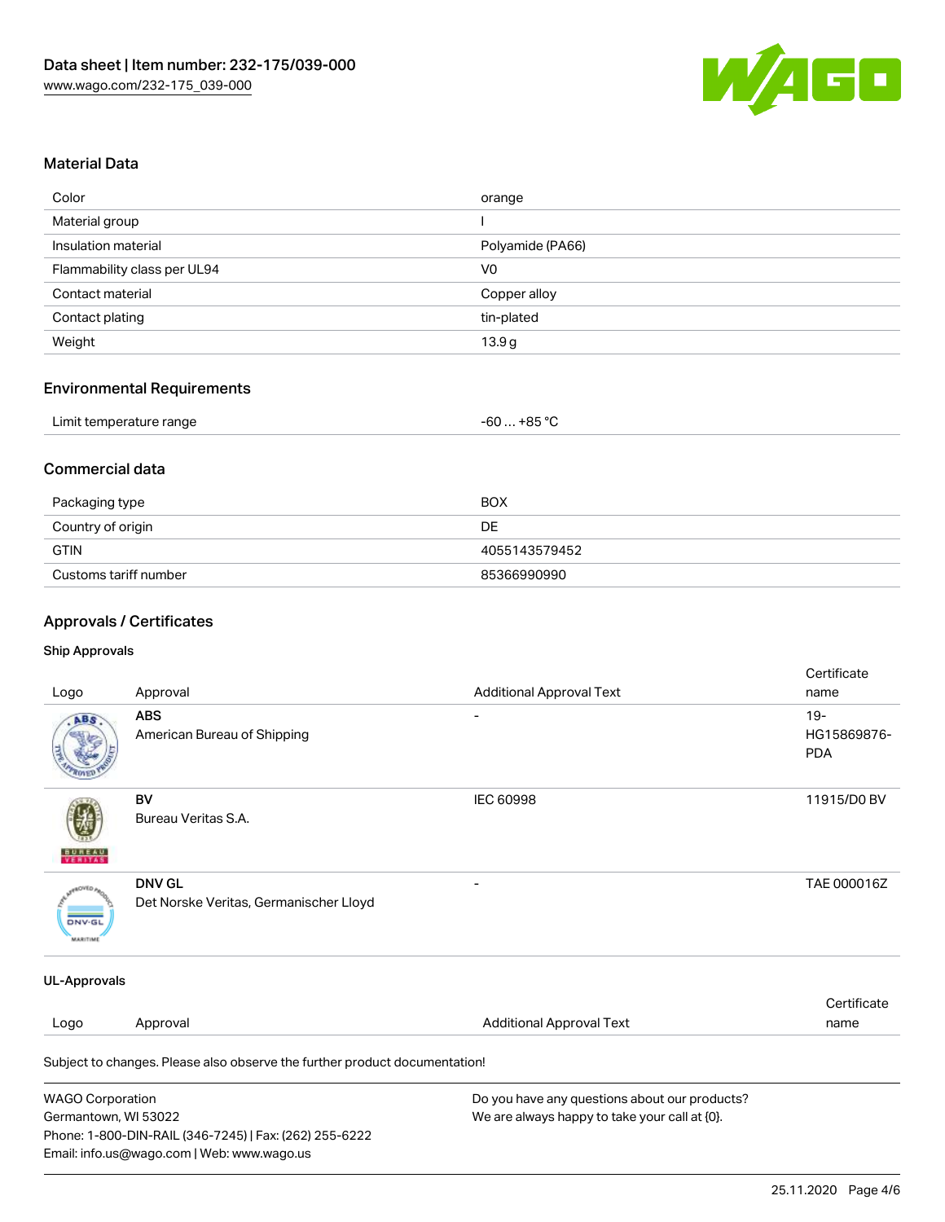

### Material Data

| Color                       | orange            |
|-----------------------------|-------------------|
| Material group              |                   |
| Insulation material         | Polyamide (PA66)  |
| Flammability class per UL94 | V <sub>0</sub>    |
| Contact material            | Copper alloy      |
| Contact plating             | tin-plated        |
| Weight                      | 13.9 <sub>g</sub> |

#### Environmental Requirements

## Commercial data

| Packaging type        | <b>BOX</b>    |
|-----------------------|---------------|
| Country of origin     | DE            |
| GTIN                  | 4055143579452 |
| Customs tariff number | 85366990990   |

## Approvals / Certificates

Email: info.us@wago.com | Web: www.wago.us

#### Ship Approvals

| Logo                             | Approval                                                                   | <b>Additional Approval Text</b>               | Certificate<br>name                |
|----------------------------------|----------------------------------------------------------------------------|-----------------------------------------------|------------------------------------|
| ABS                              | <b>ABS</b><br>American Bureau of Shipping                                  |                                               | $19-$<br>HG15869876-<br><b>PDA</b> |
| VERITAS                          | BV<br>Bureau Veritas S.A.                                                  | <b>IEC 60998</b>                              | 11915/D0 BV                        |
| <b>DNV-GL</b><br><b>MARITIME</b> | <b>DNV GL</b><br>Det Norske Veritas, Germanischer Lloyd                    |                                               | TAE 000016Z                        |
| <b>UL-Approvals</b>              |                                                                            |                                               |                                    |
| Logo                             | Approval                                                                   | <b>Additional Approval Text</b>               | Certificate<br>name                |
|                                  | Subject to changes. Please also observe the further product documentation! |                                               |                                    |
| <b>WAGO Corporation</b>          |                                                                            | Do you have any questions about our products? |                                    |
| Germantown, WI 53022             |                                                                            | We are always happy to take your call at {0}. |                                    |
|                                  | Phone: 1-800-DIN-RAIL (346-7245)   Fax: (262) 255-6222                     |                                               |                                    |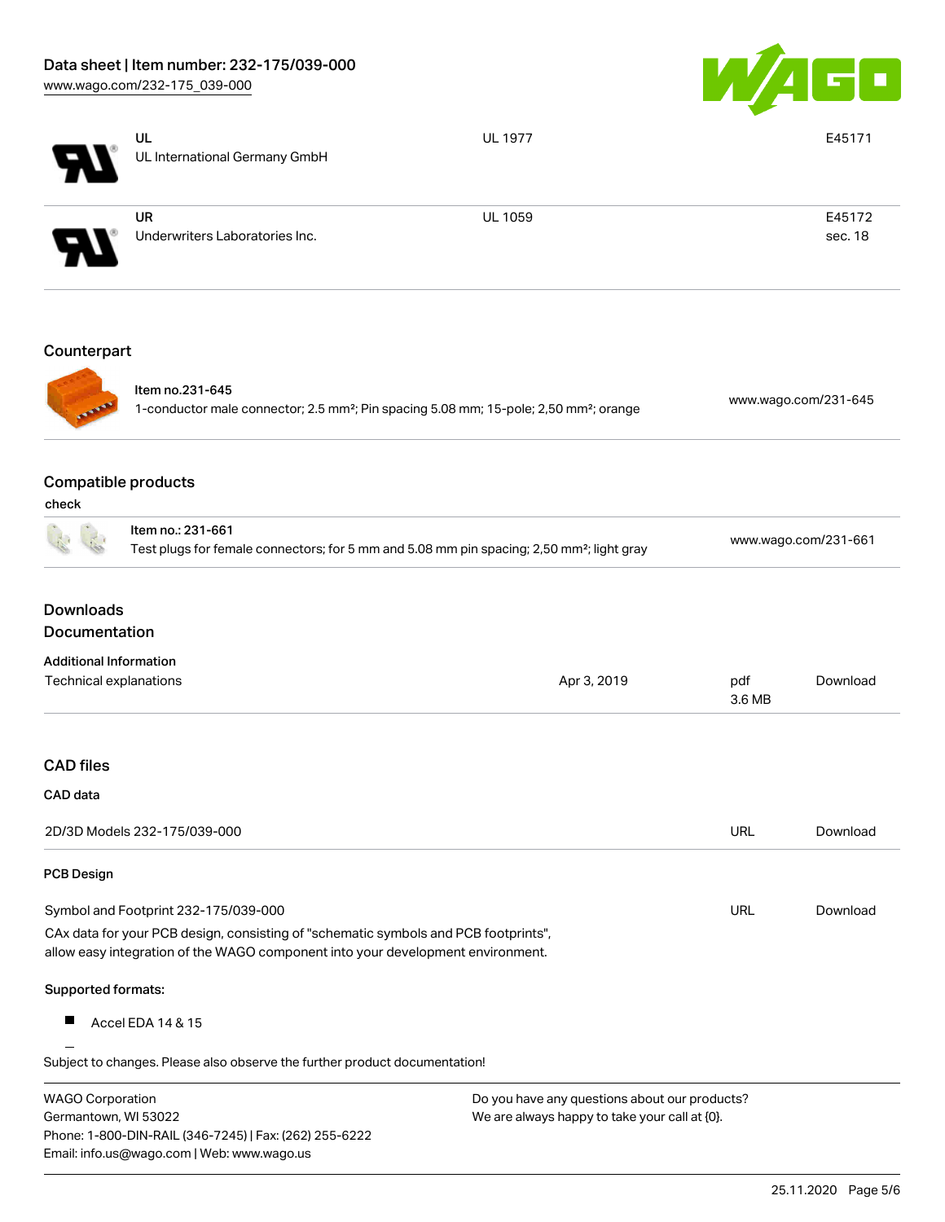Email: info.us@wago.com | Web: www.wago.us



|                                                                                                                                 | UL<br>UL International Germany GmbH                                                                                                                                    | <b>UL 1977</b>                                |                      | E45171               |  |
|---------------------------------------------------------------------------------------------------------------------------------|------------------------------------------------------------------------------------------------------------------------------------------------------------------------|-----------------------------------------------|----------------------|----------------------|--|
|                                                                                                                                 |                                                                                                                                                                        |                                               |                      |                      |  |
|                                                                                                                                 | <b>UR</b><br>Underwriters Laboratories Inc.                                                                                                                            | UL 1059                                       |                      | E45172<br>sec. 18    |  |
| Counterpart                                                                                                                     |                                                                                                                                                                        |                                               |                      |                      |  |
|                                                                                                                                 | Item no.231-645<br>1-conductor male connector; 2.5 mm <sup>2</sup> ; Pin spacing 5.08 mm; 15-pole; 2,50 mm <sup>2</sup> ; orange                                       |                                               | www.wago.com/231-645 |                      |  |
| <b>Compatible products</b><br>check                                                                                             |                                                                                                                                                                        |                                               |                      |                      |  |
|                                                                                                                                 | Item no.: 231-661<br>Test plugs for female connectors; for 5 mm and 5.08 mm pin spacing; 2,50 mm <sup>2</sup> ; light gray                                             |                                               |                      | www.wago.com/231-661 |  |
| <b>Downloads</b><br><b>Documentation</b>                                                                                        |                                                                                                                                                                        |                                               |                      |                      |  |
| <b>Additional Information</b><br>Technical explanations                                                                         |                                                                                                                                                                        | Apr 3, 2019                                   | pdf<br>3.6 MB        | Download             |  |
| <b>CAD files</b>                                                                                                                |                                                                                                                                                                        |                                               |                      |                      |  |
| CAD data                                                                                                                        |                                                                                                                                                                        |                                               |                      |                      |  |
|                                                                                                                                 | 2D/3D Models 232-175/039-000                                                                                                                                           |                                               | URL                  | Download             |  |
| <b>PCB Design</b>                                                                                                               |                                                                                                                                                                        |                                               |                      |                      |  |
|                                                                                                                                 | Symbol and Footprint 232-175/039-000                                                                                                                                   |                                               | URL                  | Download             |  |
|                                                                                                                                 | CAx data for your PCB design, consisting of "schematic symbols and PCB footprints",<br>allow easy integration of the WAGO component into your development environment. |                                               |                      |                      |  |
| Supported formats:                                                                                                              |                                                                                                                                                                        |                                               |                      |                      |  |
|                                                                                                                                 | Accel EDA 14 & 15                                                                                                                                                      |                                               |                      |                      |  |
|                                                                                                                                 | Subject to changes. Please also observe the further product documentation!                                                                                             |                                               |                      |                      |  |
| <b>WAGO Corporation</b>                                                                                                         |                                                                                                                                                                        | Do you have any questions about our products? |                      |                      |  |
| Germantown, WI 53022<br>We are always happy to take your call at {0}.<br>Phone: 1-800-DIN-RAIL (346-7245)   Fax: (262) 255-6222 |                                                                                                                                                                        |                                               |                      |                      |  |